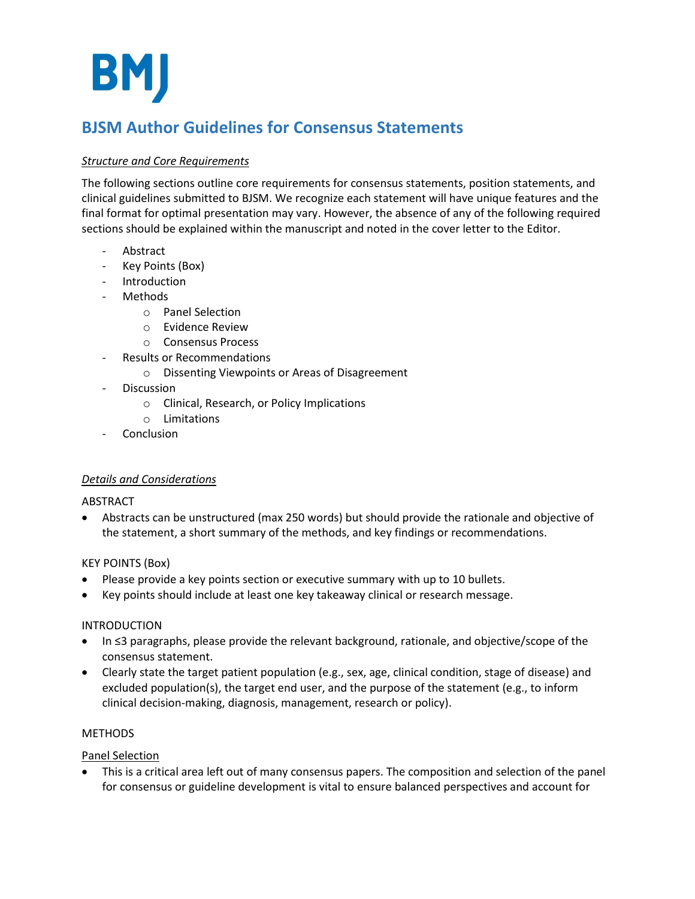**BMJ** 

# **BJSM Author Guidelines for Consensus Statements**

# *Structure and Core Requirements*

The following sections outline core requirements for consensus statements, position statements, and clinical guidelines submitted to BJSM. We recognize each statement will have unique features and the final format for optimal presentation may vary. However, the absence of any of the following required sections should be explained within the manuscript and noted in the cover letter to the Editor.

- Abstract
- Key Points (Box)
- **Introduction**
- Methods
	- o Panel Selection
	- o Evidence Review
	- o Consensus Process
- Results or Recommendations
	- o Dissenting Viewpoints or Areas of Disagreement
- Discussion
	- o Clinical, Research, or Policy Implications
	- o Limitations
- **Conclusion**

# *Details and Considerations*

# ABSTRACT

• Abstracts can be unstructured (max 250 words) but should provide the rationale and objective of the statement, a short summary of the methods, and key findings or recommendations.

# KEY POINTS (Box)

- Please provide a key points section or executive summary with up to 10 bullets.
- Key points should include at least one key takeaway clinical or research message.

# INTRODUCTION

- In ≤3 paragraphs, please provide the relevant background, rationale, and objective/scope of the consensus statement.
- Clearly state the target patient population (e.g., sex, age, clinical condition, stage of disease) and excluded population(s), the target end user, and the purpose of the statement (e.g., to inform clinical decision-making, diagnosis, management, research or policy).

# METHODS

# Panel Selection

• This is a critical area left out of many consensus papers. The composition and selection of the panel for consensus or guideline development is vital to ensure balanced perspectives and account for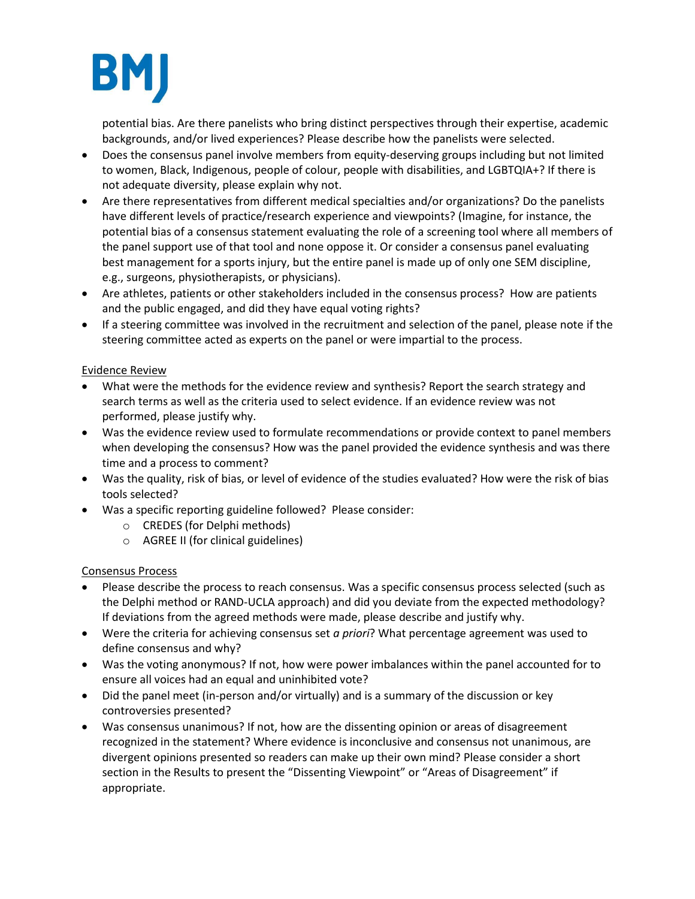

potential bias. Are there panelists who bring distinct perspectives through their expertise, academic backgrounds, and/or lived experiences? Please describe how the panelists were selected.

- Does the consensus panel involve members from equity-deserving groups including but not limited to women, Black, Indigenous, people of colour, people with disabilities, and LGBTQIA+? If there is not adequate diversity, please explain why not.
- Are there representatives from different medical specialties and/or organizations? Do the panelists have different levels of practice/research experience and viewpoints? (Imagine, for instance, the potential bias of a consensus statement evaluating the role of a screening tool where all members of the panel support use of that tool and none oppose it. Or consider a consensus panel evaluating best management for a sports injury, but the entire panel is made up of only one SEM discipline, e.g., surgeons, physiotherapists, or physicians).
- Are athletes, patients or other stakeholders included in the consensus process? How are patients and the public engaged, and did they have equal voting rights?
- If a steering committee was involved in the recruitment and selection of the panel, please note if the steering committee acted as experts on the panel or were impartial to the process.

# Evidence Review

- What were the methods for the evidence review and synthesis? Report the search strategy and search terms as well as the criteria used to select evidence. If an evidence review was not performed, please justify why.
- Was the evidence review used to formulate recommendations or provide context to panel members when developing the consensus? How was the panel provided the evidence synthesis and was there time and a process to comment?
- Was the quality, risk of bias, or level of evidence of the studies evaluated? How were the risk of bias tools selected?
- Was a specific reporting guideline followed? Please consider:
	- o CREDES (for Delphi methods)
	- o AGREE II (for clinical guidelines)

# Consensus Process

- Please describe the process to reach consensus. Was a specific consensus process selected (such as the Delphi method or RAND-UCLA approach) and did you deviate from the expected methodology? If deviations from the agreed methods were made, please describe and justify why.
- Were the criteria for achieving consensus set *a priori*? What percentage agreement was used to define consensus and why?
- Was the voting anonymous? If not, how were power imbalances within the panel accounted for to ensure all voices had an equal and uninhibited vote?
- Did the panel meet (in-person and/or virtually) and is a summary of the discussion or key controversies presented?
- Was consensus unanimous? If not, how are the dissenting opinion or areas of disagreement recognized in the statement? Where evidence is inconclusive and consensus not unanimous, are divergent opinions presented so readers can make up their own mind? Please consider a short section in the Results to present the "Dissenting Viewpoint" or "Areas of Disagreement" if appropriate.